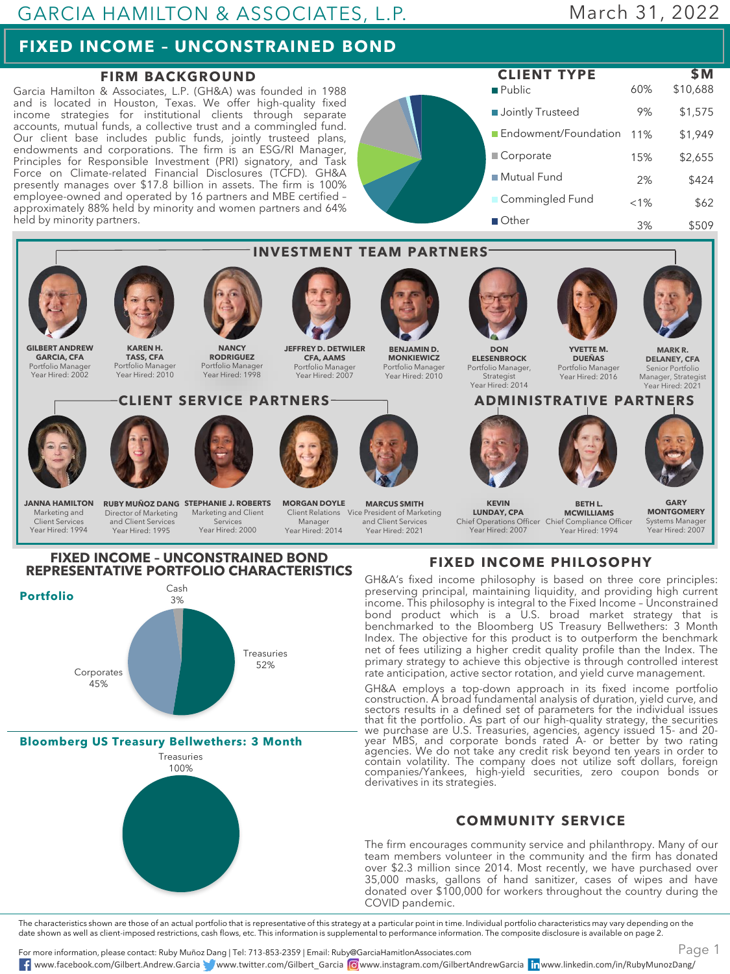## **FIXED INCOME – UNCONSTRAINED BOND**

#### **FIRM BACKGROUND**

Garcia Hamilton & Associates, L.P. (GH&A) was founded in 1988 and is located in Houston, Texas. We offer high-quality fixed income strategies for institutional clients through separate accounts, mutual funds, a collective trust and a commingled fund. Our client base includes public funds, jointly trusteed plans, endowments and corporations. The firm is an ESG/RI Manager, Principles for Responsible Investment (PRI) signatory, and Task Force on Climate-related Financial Disclosures (TCFD). GH&A presently manages over \$17.8 billion in assets. The firm is 100% employee-owned and operated by 16 partners and MBE certified – approximately 88% held by minority and women partners and 64% held by minority partners.

**Public Jointly Trusteed** Endowment/Foundation 11% Corporate ■ Mutual Fund **Commingled Fund** Other 60% \$10,688 9% \$1,575 \$1,949 15% \$2,655 2% \$424  $< 1\%$  \$62 3% \$509 **CLIENT TYPE \$M**





**Bloomberg US Treasury Bellwethers: 3 Month**



# GH&A's fixed income philosophy is based on three core principles:

preserving principal, maintaining liquidity, and providing high current income. This philosophy is integral to the Fixed Income – Unconstrained bond product which is a U.S. broad market strategy that is benchmarked to the Bloomberg US Treasury Bellwethers: 3 Month Index. The objective for this product is to outperform the benchmark net of fees utilizing a higher credit quality profile than the Index. The primary strategy to achieve this objective is through controlled interest rate anticipation, active sector rotation, and yield curve management.

GH&A employs a top-down approach in its fixed income portfolio construction. A broad fundamental analysis of duration, yield curve, and sectors results in a defined set of parameters for the individual issues that fit the portfolio. As part of our high-quality strategy, the securities we purchase are U.S. Treasuries, agencies, agency issued 15- and 20 year MBS, and corporate bonds rated A- or better by two rating agencies. We do not take any credit risk beyond ten years in order to contain volatility. The company does not utilize soft dollars, foreign companies/Yankees, high-yield securities, zero coupon bonds or derivatives in its strategies.

#### **COMMUNITY SERVICE**

The firm encourages community service and philanthropy. Many of our team members volunteer in the community and the firm has donated over \$2.3 million since 2014. Most recently, we have purchased over 35,000 masks, gallons of hand sanitizer, cases of wipes and have donated over \$100,000 for workers throughout the country during the COVID pandemic.

The characteristics shown are those of an actual portfolio that is representative of this strategy at a particular point in time. Individual portfolio characteristics may vary depending on the date shown as well as client-imposed restrictions, cash flows, etc. This information is supplemental to performance information. The composite disclosure is available on page 2.

For more information, please contact: Ruby Muñoz Dang | Tel: 713-853-2359 | Email: Ruby@GarciaHamitlonAssociates.com www.facebook.com/Gilbert.Andrew.Garcia www.twitter.com/Gilbert\_Garcia www.instagram.com/GilbertAndrewGarcia www.linkedin.com/in/RubyMunozDang/